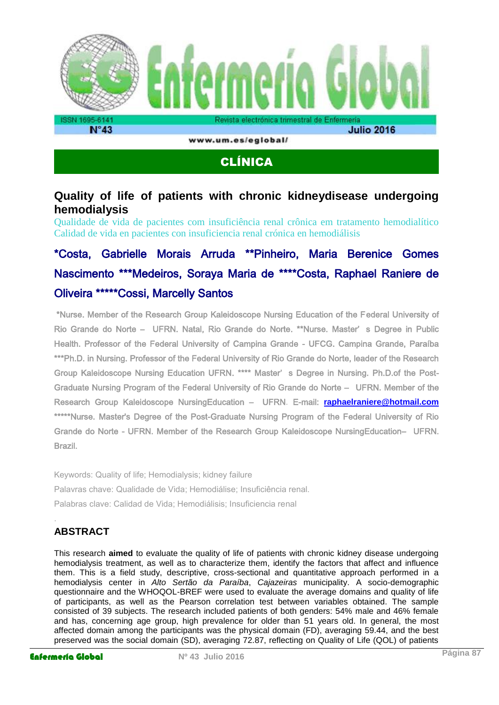

www.um.es/eglobal/

## CLÍNICA

### **Quality of life of patients with chronic kidneydisease undergoing hemodialysis**

Qualidade de vida de pacientes com insuficiência renal crônica em tratamento hemodialítico Calidad de vida en pacientes con insuficiencia renal crónica en hemodiálisis

# \*Costa, Gabrielle Morais Arruda \*\*Pinheiro, Maria Berenice Gomes Nascimento \*\*\*Medeiros, Soraya Maria de \*\*\*\*Costa, Raphael Raniere de Oliveira \*\*\*\*\*Cossi, Marcelly Santos

 \*Nurse. Member of the Research Group Kaleidoscope Nursing Education of the Federal University of Rio Grande do Norte – UFRN. Natal, Rio Grande do Norte. \*\*Nurse. Master' s Degree in Public Health. Professor of the Federal University of Campina Grande - UFCG. Campina Grande, Paraíba \*\*\*Ph.D. in Nursing. Professor of the Federal University of Rio Grande do Norte, leader of the Research Group Kaleidoscope Nursing Education UFRN. \*\*\*\* Master' s Degree in Nursing. Ph.D.of the Post-Graduate Nursing Program of the Federal University of Rio Grande do Norte – UFRN. Member of the Research Group Kaleidoscope NursingEducation – UFRN. E-mail: **[raphaelraniere@hotmail.com](mailto:raphaelraniere@hotmail.com)** \*\*\*\*\*Nurse. Master's Degree of the Post-Graduate Nursing Program of the Federal University of Rio Grande do Norte - UFRN. Member of the Research Group Kaleidoscope NursingEducation– UFRN. Brazil.

Keywords: Quality of life; Hemodialysis; kidney failure Palavras chave: Qualidade de Vida; Hemodiálise; Insuficiência renal. Palabras clave: Calidad de Vida; Hemodiálisis; Insuficiencia renal

## **ABSTRACT**

.

This research **aimed** to evaluate the quality of life of patients with chronic kidney disease undergoing hemodialysis treatment, as well as to characterize them, identify the factors that affect and influence them. This is a field study, descriptive, cross-sectional and quantitative approach performed in a hemodialysis center in *Alto Sertão da Paraíba*, *Cajazeiras* municipality. A socio-demographic questionnaire and the WHOQOL-BREF were used to evaluate the average domains and quality of life of participants, as well as the Pearson correlation test between variables obtained. The sample consisted of 39 subjects. The research included patients of both genders: 54% male and 46% female and has, concerning age group, high prevalence for older than 51 years old. In general, the most affected domain among the participants was the physical domain (FD), averaging 59.44, and the best preserved was the social domain (SD), averaging 72.87, reflecting on Quality of Life (QOL) of patients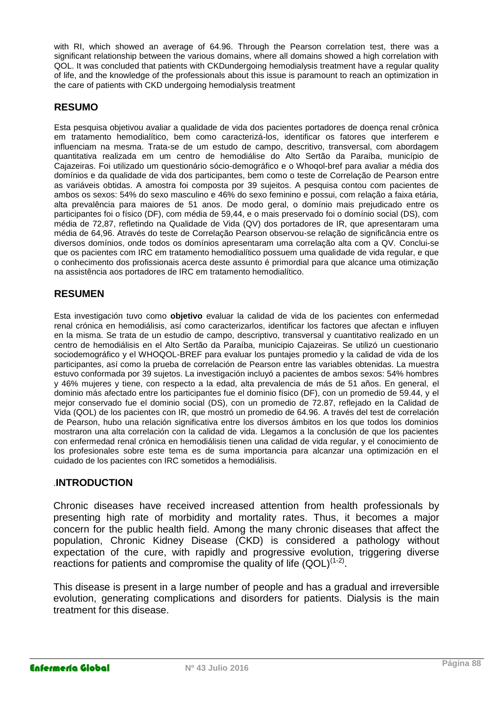with RI, which showed an average of 64.96. Through the Pearson correlation test, there was a significant relationship between the various domains, where all domains showed a high correlation with QOL. It was concluded that patients with CKDundergoing hemodialysis treatment have a regular quality of life, and the knowledge of the professionals about this issue is paramount to reach an optimization in the care of patients with CKD undergoing hemodialysis treatment

#### **RESUMO**

Esta pesquisa objetivou avaliar a qualidade de vida dos pacientes portadores de doença renal crônica em tratamento hemodialítico, bem como caracterizá-los, identificar os fatores que interferem e influenciam na mesma. Trata-se de um estudo de campo, descritivo, transversal, com abordagem quantitativa realizada em um centro de hemodiálise do Alto Sertão da Paraíba, município de Cajazeiras. Foi utilizado um questionário sócio-demográfico e o Whoqol-bref para avaliar a média dos domínios e da qualidade de vida dos participantes, bem como o teste de Correlação de Pearson entre as variáveis obtidas. A amostra foi composta por 39 sujeitos. A pesquisa contou com pacientes de ambos os sexos: 54% do sexo masculino e 46% do sexo feminino e possui, com relação a faixa etária, alta prevalência para maiores de 51 anos. De modo geral, o domínio mais prejudicado entre os participantes foi o físico (DF), com média de 59,44, e o mais preservado foi o domínio social (DS), com média de 72,87, refletindo na Qualidade de Vida (QV) dos portadores de IR, que apresentaram uma média de 64,96. Através do teste de Correlação Pearson observou-se relação de significância entre os diversos domínios, onde todos os domínios apresentaram uma correlação alta com a QV. Conclui-se que os pacientes com IRC em tratamento hemodialítico possuem uma qualidade de vida regular, e que o conhecimento dos profissionais acerca deste assunto é primordial para que alcance uma otimização na assistência aos portadores de IRC em tratamento hemodialítico.

#### **RESUMEN**

Esta investigación tuvo como **objetivo** evaluar la calidad de vida de los pacientes con enfermedad renal crónica en hemodiálisis, así como caracterizarlos, identificar los factores que afectan e influyen en la misma. Se trata de un estudio de campo, descriptivo, transversal y cuantitativo realizado en un centro de hemodiálisis en el Alto Sertão da Paraíba, municipio Cajazeiras. Se utilizó un cuestionario sociodemográfico y el WHOQOL-BREF para evaluar los puntajes promedio y la calidad de vida de los participantes, así como la prueba de correlación de Pearson entre las variables obtenidas. La muestra estuvo conformada por 39 sujetos. La investigación incluyó a pacientes de ambos sexos: 54% hombres y 46% mujeres y tiene, con respecto a la edad, alta prevalencia de más de 51 años. En general, el dominio más afectado entre los participantes fue el dominio físico (DF), con un promedio de 59.44, y el mejor conservado fue el dominio social (DS), con un promedio de 72.87, reflejado en la Calidad de Vida (QOL) de los pacientes con IR, que mostró un promedio de 64.96. A través del test de correlación de Pearson, hubo una relación significativa entre los diversos ámbitos en los que todos los dominios mostraron una alta correlación con la calidad de vida. Llegamos a la conclusión de que los pacientes con enfermedad renal crónica en hemodiálisis tienen una calidad de vida regular, y el conocimiento de los profesionales sobre este tema es de suma importancia para alcanzar una optimización en el cuidado de los pacientes con IRC sometidos a hemodiálisis.

#### .**INTRODUCTION**

Chronic diseases have received increased attention from health professionals by presenting high rate of morbidity and mortality rates. Thus, it becomes a major concern for the public health field. Among the many chronic diseases that affect the population, Chronic Kidney Disease (CKD) is considered a pathology without expectation of the cure, with rapidly and progressive evolution, triggering diverse reactions for patients and compromise the quality of life  $(QOL)^{(1-2)}$ .

This disease is present in a large number of people and has a gradual and irreversible evolution, generating complications and disorders for patients. Dialysis is the main treatment for this disease.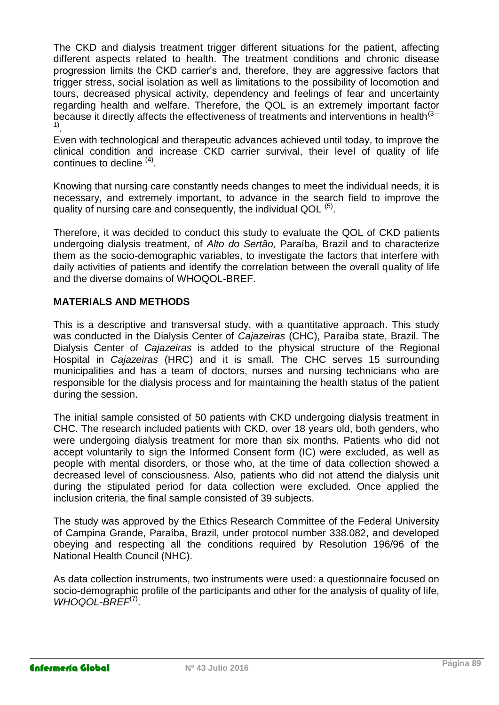The CKD and dialysis treatment trigger different situations for the patient, affecting different aspects related to health. The treatment conditions and chronic disease progression limits the CKD carrier's and, therefore, they are aggressive factors that trigger stress, social isolation as well as limitations to the possibility of locomotion and tours, decreased physical activity, dependency and feelings of fear and uncertainty regarding health and welfare. Therefore, the QOL is an extremely important factor because it directly affects the effectiveness of treatments and interventions in health<sup>(3-</sup> 1) .

Even with technological and therapeutic advances achieved until today, to improve the clinical condition and increase CKD carrier survival, their level of quality of life continues to decline <sup>(4)</sup>.

Knowing that nursing care constantly needs changes to meet the individual needs, it is necessary, and extremely important, to advance in the search field to improve the quality of nursing care and consequently, the individual QOL <sup>(5)</sup>.

Therefore, it was decided to conduct this study to evaluate the QOL of CKD patients undergoing dialysis treatment, of *Alto do Sertão,* Paraíba, Brazil and to characterize them as the socio-demographic variables, to investigate the factors that interfere with daily activities of patients and identify the correlation between the overall quality of life and the diverse domains of WHOQOL-BREF.

#### **MATERIALS AND METHODS**

This is a descriptive and transversal study, with a quantitative approach. This study was conducted in the Dialysis Center of *Cajazeiras* (CHC), Paraíba state, Brazil. The Dialysis Center of *Cajazeiras* is added to the physical structure of the Regional Hospital in *Cajazeiras* (HRC) and it is small. The CHC serves 15 surrounding municipalities and has a team of doctors, nurses and nursing technicians who are responsible for the dialysis process and for maintaining the health status of the patient during the session.

The initial sample consisted of 50 patients with CKD undergoing dialysis treatment in CHC. The research included patients with CKD, over 18 years old, both genders, who were undergoing dialysis treatment for more than six months. Patients who did not accept voluntarily to sign the Informed Consent form (IC) were excluded, as well as people with mental disorders, or those who, at the time of data collection showed a decreased level of consciousness. Also, patients who did not attend the dialysis unit during the stipulated period for data collection were excluded. Once applied the inclusion criteria, the final sample consisted of 39 subjects.

The study was approved by the Ethics Research Committee of the Federal University of Campina Grande, Paraíba, Brazil, under protocol number 338.082, and developed obeying and respecting all the conditions required by Resolution 196/96 of the National Health Council (NHC).

As data collection instruments, two instruments were used: a questionnaire focused on socio-demographic profile of the participants and other for the analysis of quality of life, WHOQOL-BREF<sup>(7)</sup>.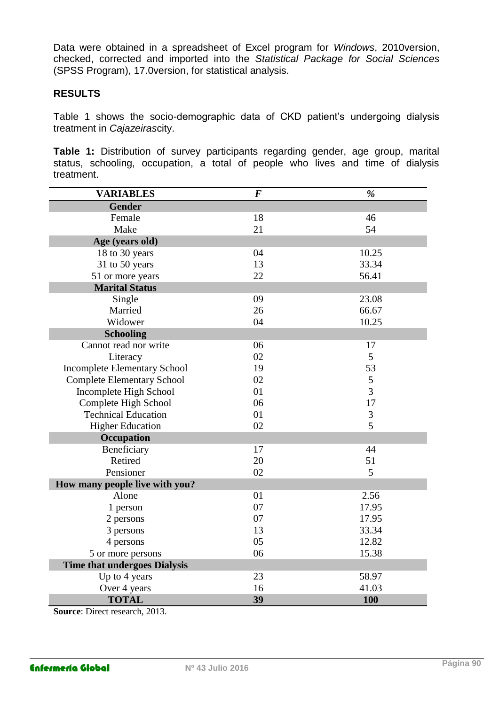Data were obtained in a spreadsheet of Excel program for *Windows*, 2010version, checked, corrected and imported into the *Statistical Package for Social Sciences* (SPSS Program), 17.0version, for statistical analysis.

#### **RESULTS**

Table 1 shows the socio-demographic data of CKD patient's undergoing dialysis treatment in *Cajazeiras*city.

**Table 1:** Distribution of survey participants regarding gender, age group, marital status, schooling, occupation, a total of people who lives and time of dialysis treatment.

| <b>VARIABLES</b>                    | $\overline{F}$ | $\%$           |  |  |  |  |
|-------------------------------------|----------------|----------------|--|--|--|--|
| <b>Gender</b>                       |                |                |  |  |  |  |
| Female                              | 18             | 46             |  |  |  |  |
| Make                                | 21             | 54             |  |  |  |  |
| Age (years old)                     |                |                |  |  |  |  |
| 18 to 30 years                      | 04             | 10.25          |  |  |  |  |
| 31 to 50 years                      | 13             | 33.34          |  |  |  |  |
| 51 or more years                    | 22             | 56.41          |  |  |  |  |
| <b>Marital Status</b>               |                |                |  |  |  |  |
| Single                              | 09             | 23.08          |  |  |  |  |
| Married                             | 26             | 66.67          |  |  |  |  |
| Widower                             | 04             | 10.25          |  |  |  |  |
| <b>Schooling</b>                    |                |                |  |  |  |  |
| Cannot read nor write               | 06             | 17             |  |  |  |  |
| Literacy                            | 02             | $\mathfrak{S}$ |  |  |  |  |
| <b>Incomplete Elementary School</b> | 19             | 53             |  |  |  |  |
| <b>Complete Elementary School</b>   | 02             | $\mathfrak{S}$ |  |  |  |  |
| Incomplete High School              | 01             | 3              |  |  |  |  |
| Complete High School                | 06             | 17             |  |  |  |  |
| <b>Technical Education</b>          | 01             | 3              |  |  |  |  |
| <b>Higher Education</b>             | 02             | 5              |  |  |  |  |
| Occupation                          |                |                |  |  |  |  |
| Beneficiary                         | 17             | 44             |  |  |  |  |
| Retired                             | 20             | 51             |  |  |  |  |
| Pensioner                           | 02             | 5              |  |  |  |  |
| How many people live with you?      |                |                |  |  |  |  |
| Alone                               | 01             | 2.56           |  |  |  |  |
| 1 person                            | 07             | 17.95          |  |  |  |  |
| 2 persons                           | 07             | 17.95          |  |  |  |  |
| 3 persons                           | 13             | 33.34          |  |  |  |  |
| 4 persons                           | 05             | 12.82          |  |  |  |  |
| 5 or more persons                   | 06             | 15.38          |  |  |  |  |
| <b>Time that undergoes Dialysis</b> |                |                |  |  |  |  |
| Up to 4 years                       | 23             | 58.97          |  |  |  |  |
| Over 4 years                        | 16             | 41.03          |  |  |  |  |
| <b>TOTAL</b>                        | 39             | <b>100</b>     |  |  |  |  |

**Source**: Direct research, 2013.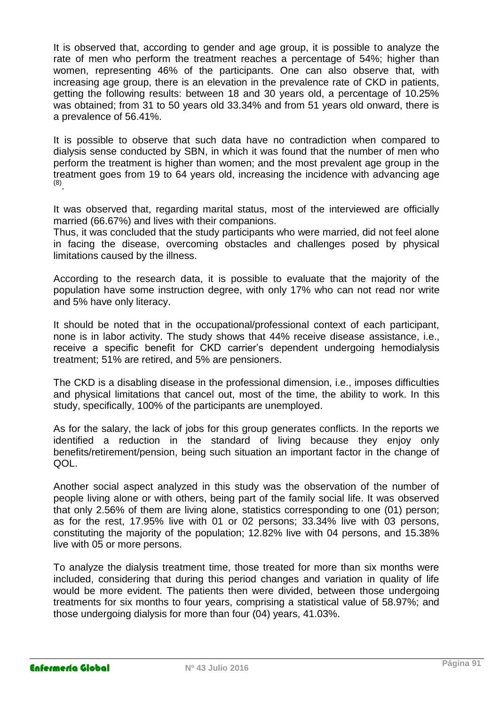It is observed that, according to gender and age group, it is possible to analyze the rate of men who perform the treatment reaches a percentage of 54%; higher than women, representing 46% of the participants. One can also observe that, with increasing age group, there is an elevation in the prevalence rate of CKD in patients, getting the following results: between 18 and 30 years old, a percentage of 10.25% was obtained; from 31 to 50 years old 33.34% and from 51 years old onward, there is a prevalence of 56.41%.

It is possible to observe that such data have no contradiction when compared to dialysis sense conducted by SBN, in which it was found that the number of men who perform the treatment is higher than women; and the most prevalent age group in the treatment goes from 19 to 64 years old, increasing the incidence with advancing age (8) .

It was observed that, regarding marital status, most of the interviewed are officially married (66.67%) and lives with their companions.

Thus, it was concluded that the study participants who were married, did not feel alone in facing the disease, overcoming obstacles and challenges posed by physical limitations caused by the illness.

According to the research data, it is possible to evaluate that the majority of the population have some instruction degree, with only 17% who can not read nor write and 5% have only literacy.

It should be noted that in the occupational/professional context of each participant, none is in labor activity. The study shows that 44% receive disease assistance, i.e., receive a specific benefit for CKD carrier's dependent undergoing hemodialysis treatment; 51% are retired, and 5% are pensioners.

The CKD is a disabling disease in the professional dimension, i.e., imposes difficulties and physical limitations that cancel out, most of the time, the ability to work. In this study, specifically, 100% of the participants are unemployed.

As for the salary, the lack of jobs for this group generates conflicts. In the reports we identified a reduction in the standard of living because they enjoy only benefits/retirement/pension, being such situation an important factor in the change of QOL.

Another social aspect analyzed in this study was the observation of the number of people living alone or with others, being part of the family social life. It was observed that only 2.56% of them are living alone, statistics corresponding to one (01) person; as for the rest, 17.95% live with 01 or 02 persons; 33.34% live with 03 persons, constituting the majority of the population; 12.82% live with 04 persons, and 15.38% live with 05 or more persons.

To analyze the dialysis treatment time, those treated for more than six months were included, considering that during this period changes and variation in quality of life would be more evident. The patients then were divided, between those undergoing treatments for six months to four years, comprising a statistical value of 58.97%; and those undergoing dialysis for more than four (04) years, 41.03%.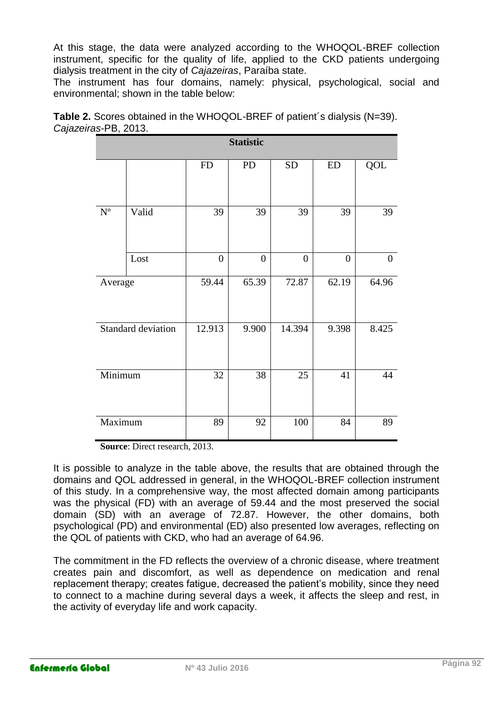At this stage, the data were analyzed according to the WHOQOL-BREF collection instrument, specific for the quality of life, applied to the CKD patients undergoing dialysis treatment in the city of *Cajazeiras*, Paraíba state.

The instrument has four domains, namely: physical, psychological, social and environmental; shown in the table below:

| Table 2. Scores obtained in the WHOQOL-BREF of patient's dialysis (N=39). |
|---------------------------------------------------------------------------|
| Cajazeiras-PB, 2013.                                                      |
|                                                                           |

| <b>Statistic</b>          |       |                  |                  |                  |                  |                  |  |
|---------------------------|-------|------------------|------------------|------------------|------------------|------------------|--|
|                           |       | ${\rm FD}$       | PD               | <b>SD</b>        | ED               | QOL              |  |
| $\mathbf{N}^{\mathrm{o}}$ | Valid | 39               | 39               | 39               | 39               | 39               |  |
|                           | Lost  | $\boldsymbol{0}$ | $\boldsymbol{0}$ | $\boldsymbol{0}$ | $\boldsymbol{0}$ | $\boldsymbol{0}$ |  |
| Average                   |       | 59.44            | 65.39            | 72.87            | 62.19            | 64.96            |  |
| Standard deviation        |       | 12.913           | 9.900            | 14.394           | 9.398            | 8.425            |  |
| Minimum                   |       | 32               | 38               | 25               | 41               | 44               |  |
| Maximum                   |       | 89               | 92               | 100              | 84               | 89               |  |

 **Source**: Direct research, 2013.

It is possible to analyze in the table above, the results that are obtained through the domains and QOL addressed in general, in the WHOQOL-BREF collection instrument of this study. In a comprehensive way, the most affected domain among participants was the physical (FD) with an average of 59.44 and the most preserved the social domain (SD) with an average of 72.87. However, the other domains, both psychological (PD) and environmental (ED) also presented low averages, reflecting on the QOL of patients with CKD, who had an average of 64.96.

The commitment in the FD reflects the overview of a chronic disease, where treatment creates pain and discomfort, as well as dependence on medication and renal replacement therapy; creates fatigue, decreased the patient's mobility, since they need to connect to a machine during several days a week, it affects the sleep and rest, in the activity of everyday life and work capacity.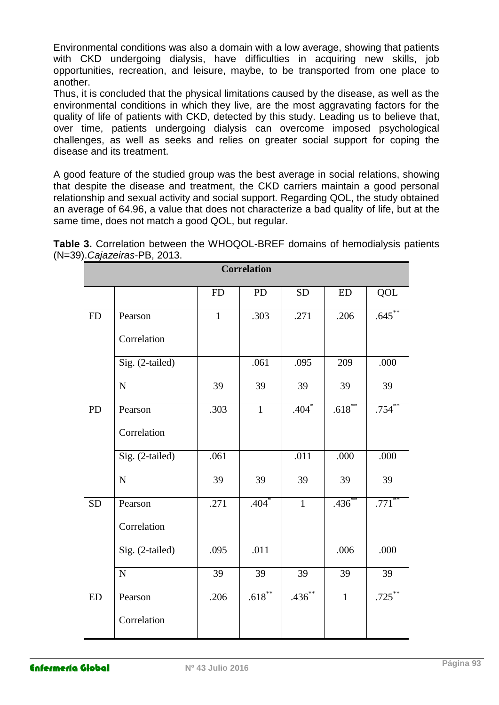Environmental conditions was also a domain with a low average, showing that patients with CKD undergoing dialysis, have difficulties in acquiring new skills, job opportunities, recreation, and leisure, maybe, to be transported from one place to another.

Thus, it is concluded that the physical limitations caused by the disease, as well as the environmental conditions in which they live, are the most aggravating factors for the quality of life of patients with CKD, detected by this study. Leading us to believe that, over time, patients undergoing dialysis can overcome imposed psychological challenges, as well as seeks and relies on greater social support for coping the disease and its treatment.

A good feature of the studied group was the best average in social relations, showing that despite the disease and treatment, the CKD carriers maintain a good personal relationship and sexual activity and social support. Regarding QOL, the study obtained an average of 64.96, a value that does not characterize a bad quality of life, but at the same time, does not match a good QOL, but regular.

|                                                                                       | <b>Correlation</b> |  |  |
|---------------------------------------------------------------------------------------|--------------------|--|--|
| (N=39). Cajazeiras-PB, 2013.                                                          |                    |  |  |
| <b>Table 3.</b> Correlation between the VVHOQOL-BREF domains of nemodialysis patients |                    |  |  |

**Table 3.** Correlation between the WHOQOL-BREF domains of hemodialysis patients

| <b>Correlation</b> |                 |              |              |                |              |                 |  |
|--------------------|-----------------|--------------|--------------|----------------|--------------|-----------------|--|
|                    |                 | <b>FD</b>    | PD           | <b>SD</b>      | <b>ED</b>    | QOL             |  |
| <b>FD</b>          | Pearson         | $\mathbf{1}$ | .303         | .271           | .206         | .645            |  |
|                    | Correlation     |              |              |                |              |                 |  |
|                    | Sig. (2-tailed) |              | .061         | .095           | 209          | .000            |  |
|                    | $\mathbf N$     | 39           | 39           | 39             | 39           | 39              |  |
| PD                 | Pearson         | .303         | $\mathbf{1}$ | $.404*$        | $.618***$    | $.754$ **       |  |
|                    | Correlation     |              |              |                |              |                 |  |
|                    | Sig. (2-tailed) | .061         |              | .011           | .000         | .000            |  |
|                    | $\mathbf N$     | 39           | 39           | 39             | 39           | $\overline{39}$ |  |
| <b>SD</b>          | Pearson         | .271         | $.404*$      | $\overline{1}$ | $.436***$    | $.771$ **       |  |
|                    | Correlation     |              |              |                |              |                 |  |
|                    | Sig. (2-tailed) | .095         | .011         |                | .006         | .000            |  |
|                    | $\mathbf N$     | 39           | 39           | 39             | 39           | 39              |  |
| <b>ED</b>          | Pearson         | .206         | $.618***$    | $.436^{**}$    | $\mathbf{1}$ | $.725$ **       |  |
|                    | Correlation     |              |              |                |              |                 |  |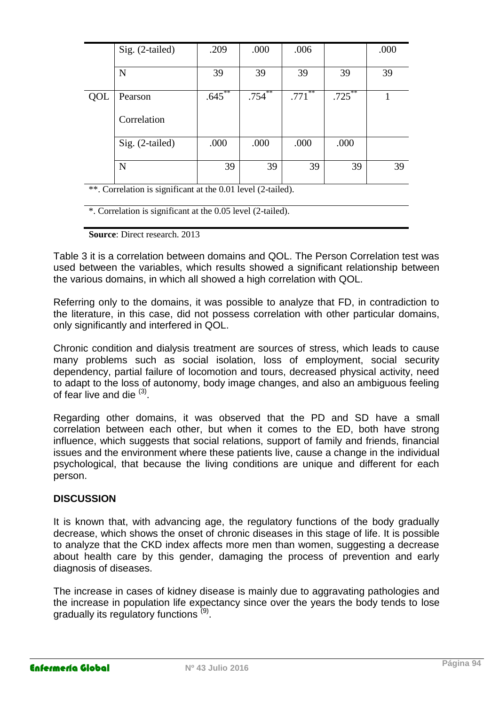|                                                            | $Sig. (2-tailed)$ | .209      | .000      | .006                      |           | .000 |
|------------------------------------------------------------|-------------------|-----------|-----------|---------------------------|-----------|------|
|                                                            | N                 | 39        | 39        | 39                        | 39        | 39   |
|                                                            |                   |           |           |                           |           |      |
| QOL                                                        | Pearson           | $.645***$ | $.754$ ** | **<br>$.771$ <sup>*</sup> | $.725***$ |      |
|                                                            | Correlation       |           |           |                           |           |      |
|                                                            | $Sig. (2-tailed)$ | .000      | .000      | .000                      | .000      |      |
|                                                            | N                 | 39        | 39        | 39                        | 39        | 39   |
| $44$ and $1$ is the set of $1$ and $0.011$ and $1/0.11$ in |                   |           |           |                           |           |      |

\*\*. Correlation is significant at the 0.01 level (2-tailed).

\*. Correlation is significant at the 0.05 level (2-tailed).

**Source**: Direct research. 2013

Table 3 it is a correlation between domains and QOL. The Person Correlation test was used between the variables, which results showed a significant relationship between the various domains, in which all showed a high correlation with QOL.

Referring only to the domains, it was possible to analyze that FD, in contradiction to the literature, in this case, did not possess correlation with other particular domains, only significantly and interfered in QOL.

Chronic condition and dialysis treatment are sources of stress, which leads to cause many problems such as social isolation, loss of employment, social security dependency, partial failure of locomotion and tours, decreased physical activity, need to adapt to the loss of autonomy, body image changes, and also an ambiguous feeling of fear live and die  $(3)$ .

Regarding other domains, it was observed that the PD and SD have a small correlation between each other, but when it comes to the ED, both have strong influence, which suggests that social relations, support of family and friends, financial issues and the environment where these patients live, cause a change in the individual psychological, that because the living conditions are unique and different for each person.

#### **DISCUSSION**

It is known that, with advancing age, the regulatory functions of the body gradually decrease, which shows the onset of chronic diseases in this stage of life. It is possible to analyze that the CKD index affects more men than women, suggesting a decrease about health care by this gender, damaging the process of prevention and early diagnosis of diseases.

The increase in cases of kidney disease is mainly due to aggravating pathologies and the increase in population life expectancy since over the years the body tends to lose gradually its regulatory functions<sup>(9)</sup>.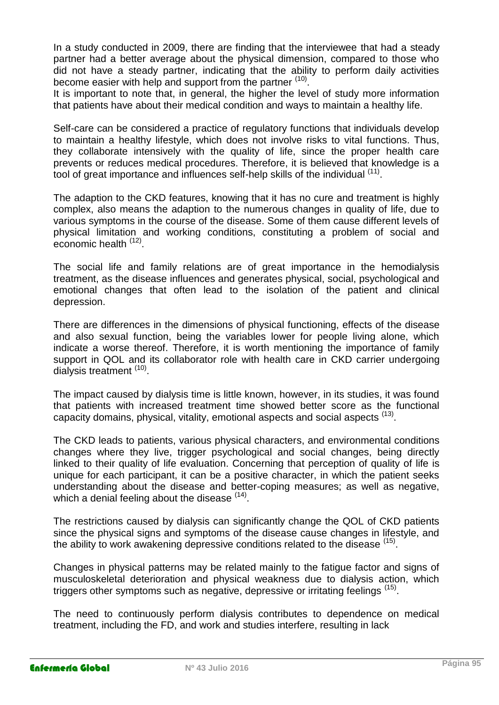In a study conducted in 2009, there are finding that the interviewee that had a steady partner had a better average about the physical dimension, compared to those who did not have a steady partner, indicating that the ability to perform daily activities become easier with help and support from the partner (10).

It is important to note that, in general, the higher the level of study more information that patients have about their medical condition and ways to maintain a healthy life.

Self-care can be considered a practice of regulatory functions that individuals develop to maintain a healthy lifestyle, which does not involve risks to vital functions. Thus, they collaborate intensively with the quality of life, since the proper health care prevents or reduces medical procedures. Therefore, it is believed that knowledge is a tool of great importance and influences self-help skills of the individual <sup>(11)</sup>.

The adaption to the CKD features, knowing that it has no cure and treatment is highly complex, also means the adaption to the numerous changes in quality of life, due to various symptoms in the course of the disease. Some of them cause different levels of physical limitation and working conditions, constituting a problem of social and economic health <sup>(12)</sup>.

The social life and family relations are of great importance in the hemodialysis treatment, as the disease influences and generates physical, social, psychological and emotional changes that often lead to the isolation of the patient and clinical depression.

There are differences in the dimensions of physical functioning, effects of the disease and also sexual function, being the variables lower for people living alone, which indicate a worse thereof. Therefore, it is worth mentioning the importance of family support in QOL and its collaborator role with health care in CKD carrier undergoing dialysis treatment (10).

The impact caused by dialysis time is little known, however, in its studies, it was found that patients with increased treatment time showed better score as the functional capacity domains, physical, vitality, emotional aspects and social aspects  $(13)$ .

The CKD leads to patients, various physical characters, and environmental conditions changes where they live, trigger psychological and social changes, being directly linked to their quality of life evaluation. Concerning that perception of quality of life is unique for each participant, it can be a positive character, in which the patient seeks understanding about the disease and better-coping measures; as well as negative, which a denial feeling about the disease (14).

The restrictions caused by dialysis can significantly change the QOL of CKD patients since the physical signs and symptoms of the disease cause changes in lifestyle, and the ability to work awakening depressive conditions related to the disease <sup>(15)</sup>.

Changes in physical patterns may be related mainly to the fatigue factor and signs of musculoskeletal deterioration and physical weakness due to dialysis action, which triggers other symptoms such as negative, depressive or irritating feelings (15).

The need to continuously perform dialysis contributes to dependence on medical treatment, including the FD, and work and studies interfere, resulting in lack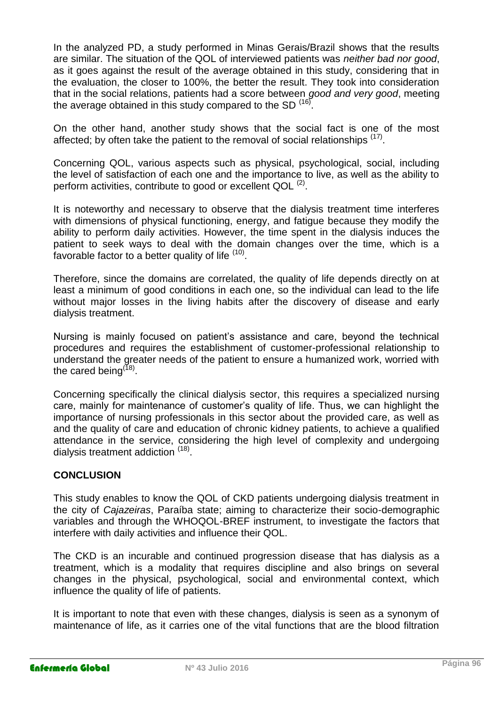In the analyzed PD, a study performed in Minas Gerais/Brazil shows that the results are similar. The situation of the QOL of interviewed patients was *neither bad nor good*, as it goes against the result of the average obtained in this study, considering that in the evaluation, the closer to 100%, the better the result. They took into consideration that in the social relations, patients had a score between *good and very good*, meeting the average obtained in this study compared to the SD  $^{(16)}$ .

On the other hand, another study shows that the social fact is one of the most affected; by often take the patient to the removal of social relationships <sup>(17)</sup>.

Concerning QOL, various aspects such as physical, psychological, social, including the level of satisfaction of each one and the importance to live, as well as the ability to perform activities, contribute to good or excellent QOL  $^{(2)}$ .

It is noteworthy and necessary to observe that the dialysis treatment time interferes with dimensions of physical functioning, energy, and fatigue because they modify the ability to perform daily activities. However, the time spent in the dialysis induces the patient to seek ways to deal with the domain changes over the time, which is a favorable factor to a better quality of life <sup>(10)</sup>.

Therefore, since the domains are correlated, the quality of life depends directly on at least a minimum of good conditions in each one, so the individual can lead to the life without major losses in the living habits after the discovery of disease and early dialysis treatment.

Nursing is mainly focused on patient's assistance and care, beyond the technical procedures and requires the establishment of customer-professional relationship to understand the greater needs of the patient to ensure a humanized work, worried with the cared being<sup>(18)</sup>.

Concerning specifically the clinical dialysis sector, this requires a specialized nursing care, mainly for maintenance of customer's quality of life. Thus, we can highlight the importance of nursing professionals in this sector about the provided care, as well as and the quality of care and education of chronic kidney patients, to achieve a qualified attendance in the service, considering the high level of complexity and undergoing dialysis treatment addiction <sup>(18)</sup>.

#### **CONCLUSION**

This study enables to know the QOL of CKD patients undergoing dialysis treatment in the city of *Cajazeiras*, Paraíba state; aiming to characterize their socio-demographic variables and through the WHOQOL-BREF instrument, to investigate the factors that interfere with daily activities and influence their QOL.

The CKD is an incurable and continued progression disease that has dialysis as a treatment, which is a modality that requires discipline and also brings on several changes in the physical, psychological, social and environmental context, which influence the quality of life of patients.

It is important to note that even with these changes, dialysis is seen as a synonym of maintenance of life, as it carries one of the vital functions that are the blood filtration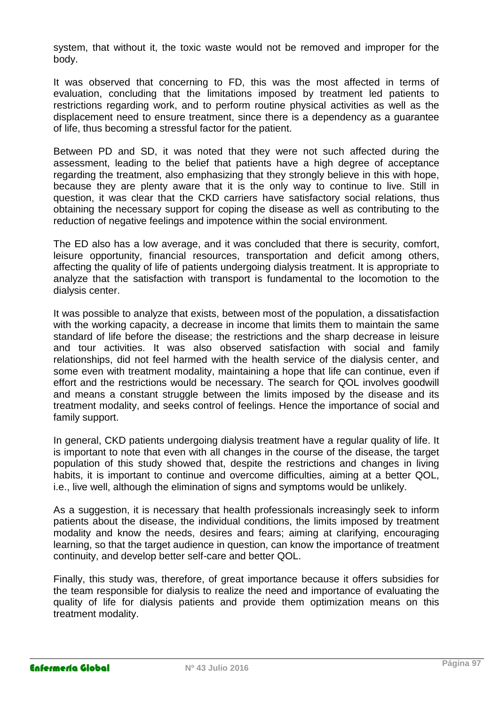system, that without it, the toxic waste would not be removed and improper for the body.

It was observed that concerning to FD, this was the most affected in terms of evaluation, concluding that the limitations imposed by treatment led patients to restrictions regarding work, and to perform routine physical activities as well as the displacement need to ensure treatment, since there is a dependency as a guarantee of life, thus becoming a stressful factor for the patient.

Between PD and SD, it was noted that they were not such affected during the assessment, leading to the belief that patients have a high degree of acceptance regarding the treatment, also emphasizing that they strongly believe in this with hope, because they are plenty aware that it is the only way to continue to live. Still in question, it was clear that the CKD carriers have satisfactory social relations, thus obtaining the necessary support for coping the disease as well as contributing to the reduction of negative feelings and impotence within the social environment.

The ED also has a low average, and it was concluded that there is security, comfort, leisure opportunity, financial resources, transportation and deficit among others, affecting the quality of life of patients undergoing dialysis treatment. It is appropriate to analyze that the satisfaction with transport is fundamental to the locomotion to the dialysis center.

It was possible to analyze that exists, between most of the population, a dissatisfaction with the working capacity, a decrease in income that limits them to maintain the same standard of life before the disease; the restrictions and the sharp decrease in leisure and tour activities. It was also observed satisfaction with social and family relationships, did not feel harmed with the health service of the dialysis center, and some even with treatment modality, maintaining a hope that life can continue, even if effort and the restrictions would be necessary. The search for QOL involves goodwill and means a constant struggle between the limits imposed by the disease and its treatment modality, and seeks control of feelings. Hence the importance of social and family support.

In general, CKD patients undergoing dialysis treatment have a regular quality of life. It is important to note that even with all changes in the course of the disease, the target population of this study showed that, despite the restrictions and changes in living habits, it is important to continue and overcome difficulties, aiming at a better QOL, i.e., live well, although the elimination of signs and symptoms would be unlikely.

As a suggestion, it is necessary that health professionals increasingly seek to inform patients about the disease, the individual conditions, the limits imposed by treatment modality and know the needs, desires and fears; aiming at clarifying, encouraging learning, so that the target audience in question, can know the importance of treatment continuity, and develop better self-care and better QOL.

Finally, this study was, therefore, of great importance because it offers subsidies for the team responsible for dialysis to realize the need and importance of evaluating the quality of life for dialysis patients and provide them optimization means on this treatment modality.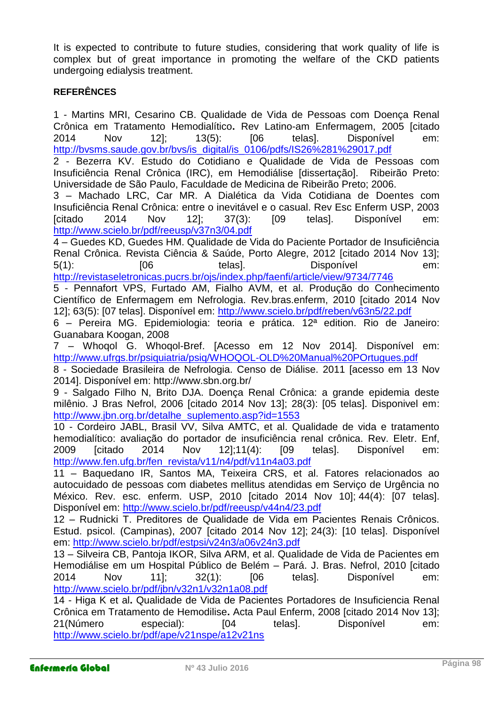It is expected to contribute to future studies, considering that work quality of life is complex but of great importance in promoting the welfare of the CKD patients undergoing edialysis treatment.

#### **REFERÊNCES**

1 - Martins MRI, Cesarino CB. Qualidade de Vida de Pessoas com Doença Renal Crônica em Tratamento Hemodialítico**.** Rev Latino-am Enfermagem, 2005 [citado 2014 Nov 12]; 13(5): [06 telas]. Disponível em: http://bysms.saude.gov.br/bys/is\_digital/is\_0106/pdfs/IS26%281%29017.pdf

2 - Bezerra KV. Estudo do Cotidiano e Qualidade de Vida de Pessoas com Insuficiência Renal Crônica (IRC), em Hemodiálise [dissertação]. Ribeirão Preto: Universidade de São Paulo, Faculdade de Medicina de Ribeirão Preto; 2006.

3 – Machado LRC, Car MR. A Dialética da Vida Cotidiana de Doentes com Insuficiência Renal Crônica: entre o inevitável e o casual. Rev Esc Enferm USP, 2003 [citado 2014 Nov 12]; 37(3): [09 telas]. Disponível em: <http://www.scielo.br/pdf/reeusp/v37n3/04.pdf>

4 – Guedes KD, Guedes HM. Qualidade de Vida do Paciente Portador de Insuficiência Renal Crônica. Revista Ciência & Saúde, Porto Alegre, 2012 [citado 2014 Nov 13]; 5(1): [06 telas]. Disponível em: <http://revistaseletronicas.pucrs.br/ojs/index.php/faenfi/article/view/9734/7746>

5 - Pennafort VPS, Furtado AM, Fialho AVM, et al. Produção do Conhecimento Científico de Enfermagem em Nefrologia. Rev.bras.enferm, 2010 [citado 2014 Nov 12]; 63(5): [07 telas]. Disponível em:<http://www.scielo.br/pdf/reben/v63n5/22.pdf>

6 – Pereira MG. Epidemiologia: teoria e prática. 12ª edition. Rio de Janeiro: Guanabara Koogan, 2008

7 – Whoqol G. Whoqol-Bref. [Acesso em 12 Nov 2014]. Disponível em: <http://www.ufrgs.br/psiquiatria/psiq/WHOQOL-OLD%20Manual%20POrtugues.pdf>

8 - Sociedade Brasileira de Nefrologia. Censo de Diálise. 2011 [acesso em 13 Nov 2014]. Disponível em: http://www.sbn.org.br/

9 - Salgado Filho N, Brito DJA. Doença Renal Crônica: a grande epidemia deste milênio. J Bras Nefrol, 2006 [citado 2014 Nov 13]; 28(3): [05 telas]. Disponivel em: [http://www.jbn.org.br/detalhe\\_suplemento.asp?id=1553](http://www.jbn.org.br/detalhe_suplemento.asp?id=1553)

10 - Cordeiro JABL, Brasil VV, Silva AMTC, et al. Qualidade de vida e tratamento hemodialítico: avaliação do portador de insuficiência renal crônica. Rev. Eletr. Enf, 2009 [citado 2014 Nov 12];11(4): [09 telas]. Disponível em: [http://www.fen.ufg.br/fen\\_revista/v11/n4/pdf/v11n4a03.pdf](http://www.fen.ufg.br/fen_revista/v11/n4/pdf/v11n4a03.pdf)

11 – Baquedano IR, Santos MA, Teixeira CRS, et al. Fatores relacionados ao autocuidado de pessoas com diabetes mellitus atendidas em Serviço de Urgência no México. Rev. esc. enferm. USP, 2010 [citado 2014 Nov 10]; 44(4): [07 telas]. Disponível em:<http://www.scielo.br/pdf/reeusp/v44n4/23.pdf>

12 – Rudnicki T. Preditores de Qualidade de Vida em Pacientes Renais Crônicos. Estud. psicol. (Campinas), 2007 [citado 2014 Nov 12]; 24(3): [10 telas]. Disponível em: <http://www.scielo.br/pdf/estpsi/v24n3/a06v24n3.pdf>

13 – Silveira CB, Pantoja IKOR, Silva ARM, et al. Qualidade de Vida de Pacientes em Hemodiálise em um Hospital Público de Belém – Pará. J. Bras. Nefrol, 2010 [citado 2014 Nov 11]; 32(1): [06 telas]. Disponível em: <http://www.scielo.br/pdf/jbn/v32n1/v32n1a08.pdf>

14 - Higa K et al**.** Qualidade de Vida de Pacientes Portadores de Insuficiencia Renal Crônica em Tratamento de Hemodilise**.** Acta Paul Enferm, 2008 [citado 2014 Nov 13]; 21(Número especial): [04 telas]. Disponível em: <http://www.scielo.br/pdf/ape/v21nspe/a12v21ns>